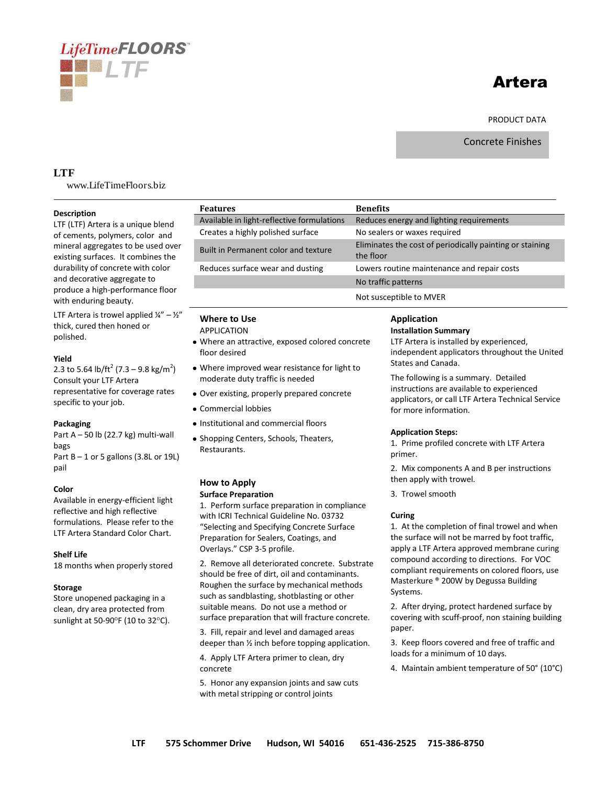# **LifeTimeFLOORS** *LTF*

# Artera

PRODUCT DATA

Concrete Finishes

# **LTF**

www.LifeTimeFloors.biz

# **Description**

LTF (LTF) Artera is a unique blend of cements, polymers, color and mineral aggregates to be used over existing surfaces. It combines the durability of concrete with color and decorative aggregate to produce a high-performance floor with enduring beauty.

LTF Artera is trowel applied  $\frac{1}{4}$ " –  $\frac{1}{2}$ " thick, cured then honed or polished.

# **Yield**

2.3 to 5.64 lb/ft<sup>2</sup> (7.3 – 9.8 kg/m<sup>2</sup>) Consult your LTF Artera representative for coverage rates specific to your job.

# **Packaging**

Part  $A - 50$  lb (22.7 kg) multi-wall bags Part  $B - 1$  or 5 gallons (3.8L or 19L)

# **Color**

pail

Available in energy-efficient light reflective and high reflective formulations. Please refer to the LTF Artera Standard Color Chart.

#### **Shelf Life**

18 months when properly stored

# **Storage**

Store unopened packaging in a clean, dry area protected from sunlight at 50-90 $\degree$ F (10 to 32 $\degree$ C).

| <b>Features</b>                            | <b>Benefits</b>                                                       |
|--------------------------------------------|-----------------------------------------------------------------------|
| Available in light-reflective formulations | Reduces energy and lighting requirements                              |
| Creates a highly polished surface          | No sealers or waxes required                                          |
| Built in Permanent color and texture       | Eliminates the cost of periodically painting or staining<br>the floor |
| Reduces surface wear and dusting           | Lowers routine maintenance and repair costs                           |
|                                            | No traffic patterns                                                   |
|                                            | Not susceptible to MVER                                               |

# **Where to Use**

APPLICATION

- Where an attractive, exposed colored concrete floor desired
- Where improved wear resistance for light to moderate duty traffic is needed
- Over existing, properly prepared concrete
- Commercial lobbies
- Institutional and commercial floors
- Shopping Centers, Schools, Theaters, Restaurants.

# **How to Apply**

#### **Surface Preparation**

1. Perform surface preparation in compliance with ICRI Technical Guideline No. 03732 "Selecting and Specifying Concrete Surface Preparation for Sealers, Coatings, and Overlays." CSP 3-5 profile.

2. Remove all deteriorated concrete. Substrate should be free of dirt, oil and contaminants. Roughen the surface by mechanical methods such as sandblasting, shotblasting or other suitable means. Do not use a method or surface preparation that will fracture concrete.

3. Fill, repair and level and damaged areas deeper than ½ inch before topping application.

4. Apply LTF Artera primer to clean, dry concrete

5. Honor any expansion joints and saw cuts with metal stripping or control joints

# **Application**

# **Installation Summary**

LTF Artera is installed by experienced, independent applicators throughout the United States and Canada.

The following is a summary. Detailed instructions are available to experienced applicators, or call LTF Artera Technical Service for more information.

# **Application Steps:**

1. Prime profiled concrete with LTF Artera primer.

2. Mix components A and B per instructions then apply with trowel.

3. Trowel smooth

# **Curing**

1. At the completion of final trowel and when the surface will not be marred by foot traffic, apply a LTF Artera approved membrane curing compound according to directions. For VOC compliant requirements on colored floors, use Masterkure ® 200W by Degussa Building Systems.

2. After drying, protect hardened surface by covering with scuff-proof, non staining building paper.

3. Keep floors covered and free of traffic and loads for a minimum of 10 days.

4. Maintain ambient temperature of 50° (10°C)